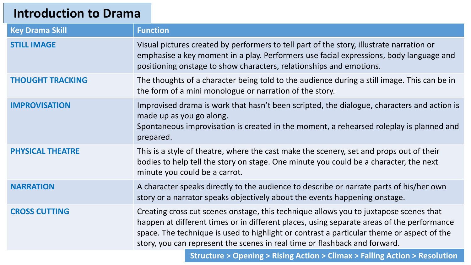### **Introduction to Drama**

| <b>Key Drama Skill</b>  | <b>Function</b>                                                                                                                                                                                                                                                                                                                                               |  |
|-------------------------|---------------------------------------------------------------------------------------------------------------------------------------------------------------------------------------------------------------------------------------------------------------------------------------------------------------------------------------------------------------|--|
| <b>STILL IMAGE</b>      | Visual pictures created by performers to tell part of the story, illustrate narration or<br>emphasise a key moment in a play. Performers use facial expressions, body language and<br>positioning onstage to show characters, relationships and emotions.                                                                                                     |  |
| <b>THOUGHT TRACKING</b> | The thoughts of a character being told to the audience during a still image. This can be in<br>the form of a mini monologue or narration of the story.                                                                                                                                                                                                        |  |
| <b>IMPROVISATION</b>    | Improvised drama is work that hasn't been scripted, the dialogue, characters and action is<br>made up as you go along.<br>Spontaneous improvisation is created in the moment, a rehearsed roleplay is planned and<br>prepared.                                                                                                                                |  |
| <b>PHYSICAL THEATRE</b> | This is a style of theatre, where the cast make the scenery, set and props out of their<br>bodies to help tell the story on stage. One minute you could be a character, the next<br>minute you could be a carrot.                                                                                                                                             |  |
| <b>NARRATION</b>        | A character speaks directly to the audience to describe or narrate parts of his/her own<br>story or a narrator speaks objectively about the events happening onstage.                                                                                                                                                                                         |  |
| <b>CROSS CUTTING</b>    | Creating cross cut scenes onstage, this technique allows you to juxtapose scenes that<br>happen at different times or in different places, using separate areas of the performance<br>space. The technique is used to highlight or contrast a particular theme or aspect of the<br>story, you can represent the scenes in real time or flashback and forward. |  |
|                         | <b>Structure &gt; Opening &gt; Rising Action &gt; Climax &gt; Falling Action &gt; Resolution</b>                                                                                                                                                                                                                                                              |  |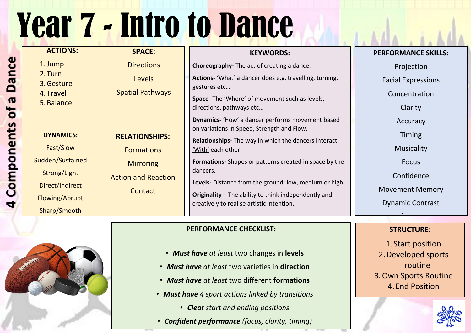## Year 7 - Intro to Dance



| <b>ACTIONS:</b>                                             | <b>SPACE:</b>              | <b>KEYWORDS:</b>                                                                                           |
|-------------------------------------------------------------|----------------------------|------------------------------------------------------------------------------------------------------------|
| 1. Jump<br>2. Turn<br>3. Gesture<br>4. Travel<br>5. Balance | <b>Directions</b>          | <b>Choreography-</b> The act of creating a dance.                                                          |
|                                                             | <b>Levels</b>              | <b>Actions-</b> 'What' a dancer does e.g. travelling, turning,                                             |
|                                                             | <b>Spatial Pathways</b>    | gestures etc                                                                                               |
|                                                             |                            | <b>Space-</b> The 'Where' of movement such as levels,<br>directions, pathways etc                          |
|                                                             |                            | <b>Dynamics-</b> 'How' a dancer performs movement based<br>on variations in Speed, Strength and Flow.      |
| <b>DYNAMICS:</b>                                            | <b>RELATIONSHIPS:</b>      | <b>Relationships-</b> The way in which the dancers interact                                                |
| Fast/Slow                                                   | <b>Formations</b>          | 'With' each other.                                                                                         |
| Sudden/Sustained                                            | <b>Mirroring</b>           | <b>Formations-</b> Shapes or patterns created in space by the                                              |
| Strong/Light                                                | <b>Action and Reaction</b> | dancers.                                                                                                   |
| Direct/Indirect                                             | Contact                    | <b>Levels-</b> Distance from the ground: low, medium or high.                                              |
| Flowing/Abrupt                                              |                            | <b>Originality</b> $-$ The ability to think independently and<br>creatively to realise artistic intention. |
| Sharp/Smooth                                                |                            |                                                                                                            |

#### **PERFORMANCE SKILLS:**

#### Projection

#### Facial Expressions

#### Concentration

Clarity

Accuracy

Timing

Musicality

Focus

Confidence

Movement Memory

Dynamic Contrast

l

#### **PERFORMANCE CHECKLIST:**

- *Must have at least* two changes in **levels**
- *Must have at least* two varieties in **direction**
- *Must have at least* two different **formations**
- *Must have 4 sport actions linked by transitions*
	- *Clear start and ending positions*
- *Confident performance (focus, clarity, timing)*

#### **STRUCTURE:**

1. Start position 2.Developed sports routine 3.Own Sports Routine 4. End Position

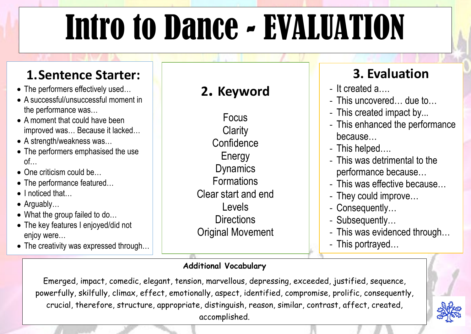## Intro to Dance - EVALUATION

- The performers effectively used…
- A successful/unsuccessful moment in the performance was…
- A moment that could have been improved was… Because it lacked…
- A strength/weakness was...
- The performers emphasised the use of…
- One criticism could be...
- The performance featured...
- I noticed that...
- Arguably…
- What the group failed to do...
- The key features I enjoyed/did not enjoy were…
- The creativity was expressed through...

## **1.Sentence Starter:**



## **3. Evaluation**

- It created a….

- This uncovered… due to…

- This created impact by...

- This enhanced the performance because…

- This helped….

- This was detrimental to the

performance because…

- This was effective because…

- They could improve…

- Consequently…

- Subsequently…

- This was evidenced through… - This portrayed…





### **Additional Vocabulary**

Emerged, impact, comedic, elegant, tension, marvellous, depressing, exceeded, justified, sequence, powerfully, skilfully, climax, effect, emotionally, aspect, identified, compromise, prolific, consequently, crucial, therefore, structure, appropriate, distinguish, reason, similar, contrast, affect, created, accomplished.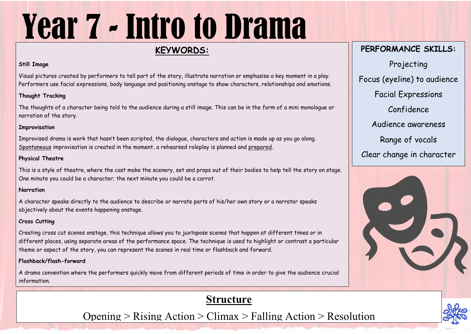# Year 7 - Intro to Drama

### **KEYWORDS:**

#### **Still Image**

Visual pictures created by performers to tell part of the story, illustrate narration or emphasise a key moment in a play. Performers use facial expressions, body language and positioning onstage to show characters, relationships and emotions.

#### **Thought Tracking**

The thoughts of a character being told to the audience during a still image. This can be in the form of a mini monologue or narration of the story.

#### **Improvisation**

Improvised drama is work that hasn't been scripted, the dialogue, characters and action is made up as you go along. Spontaneous improvisation is created in the moment, a rehearsed roleplay is planned and prepared.

#### **Physical Theatre**

This is a style of theatre, where the cast make the scenery, set and props out of their bodies to help tell the story on stage. One minute you could be a character; the next minute you could be a carrot.

#### **Narration**

A character speaks directly to the audience to describe or narrate parts of his/her own story or a narrator speaks objectively about the events happening onstage.

#### **Cross Cutting**

Creating cross cut scenes onstage, this technique allows you to juxtapose scenes that happen at different times or in different places, using separate areas of the performance space. The technique is used to highlight or contrast a particular theme or aspect of the story, you can represent the scenes in real time or flashback and forward.

#### **Flashback/flash-forward**

A drama convention where the performers quickly move from different periods of time in order to give the audience crucial information.

## **PERFORMANCE SKILLS:** Projecting Focus (eyeline) to audience Facial Expressions Confidence Audience awareness Range of vocals Clear change in character







### **Structure**

Opening  $>$  Rising Action  $>$  Climax  $>$  Falling Action  $>$  Resolution